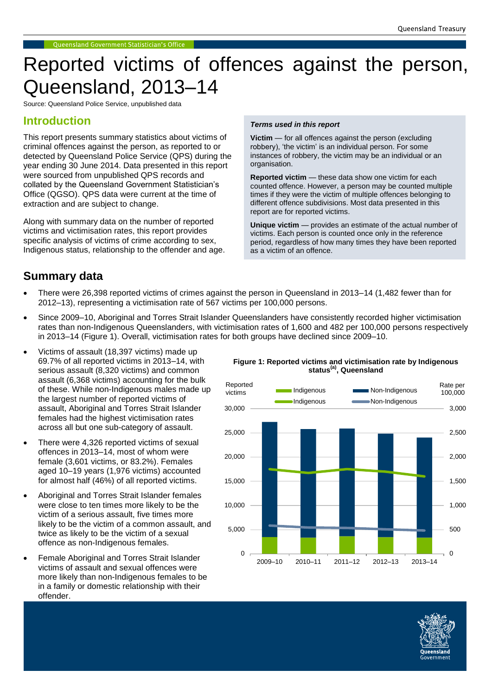# Reported victims of offences against the person, Queensland, 2013–14

Source: Queensland Police Service, unpublished data

### **Introduction**

This report presents summary statistics about victims of criminal offences against the person, as reported to or detected by Queensland Police Service (QPS) during the year ending 30 June 2014. Data presented in this report were sourced from unpublished QPS records and collated by the Queensland Government Statistician's Office (QGSO). QPS data were current at the time of extraction and are subject to change.

Along with summary data on the number of reported victims and victimisation rates, this report provides specific analysis of victims of crime according to sex, Indigenous status, relationship to the offender and age.

#### *Terms used in this report*

**Victim** — for all offences against the person (excluding robbery), 'the victim' is an individual person. For some instances of robbery, the victim may be an individual or an organisation.

**Reported victim** — these data show one victim for each counted offence. However, a person may be counted multiple times if they were the victim of multiple offences belonging to different offence subdivisions. Most data presented in this report are for reported victims.

**Unique victim** — provides an estimate of the actual number of victims. Each person is counted once only in the reference period, regardless of how many times they have been reported as a victim of an offence.

## **Summary data**

- There were 26,398 reported victims of crimes against the person in Queensland in 2013–14 (1,482 fewer than for 2012–13), representing a victimisation rate of 567 victims per 100,000 persons.
- Since 2009–10, Aboriginal and Torres Strait Islander Queenslanders have consistently recorded higher victimisation rates than non-Indigenous Queenslanders, with victimisation rates of 1,600 and 482 per 100,000 persons respectively in 2013–14 (Figure 1). Overall, victimisation rates for both groups have declined since 2009–10.
- Victims of assault (18,397 victims) made up 69.7% of all reported victims in 2013–14, with serious assault (8,320 victims) and common assault (6,368 victims) accounting for the bulk of these. While non-Indigenous males made up the largest number of reported victims of assault, Aboriginal and Torres Strait Islander females had the highest victimisation rates across all but one sub-category of assault.
- There were 4,326 reported victims of sexual offences in 2013–14, most of whom were female (3,601 victims, or 83.2%). Females aged 10–19 years (1,976 victims) accounted for almost half (46%) of all reported victims.
- Aboriginal and Torres Strait Islander females were close to ten times more likely to be the victim of a serious assault, five times more likely to be the victim of a common assault, and twice as likely to be the victim of a sexual offence as non-Indigenous females.
- Female Aboriginal and Torres Strait Islander victims of assault and sexual offences were more likely than non-Indigenous females to be in a family or domestic relationship with their offender.

**Figure 1: Reported victims and victimisation rate by Indigenous status(a), Queensland**



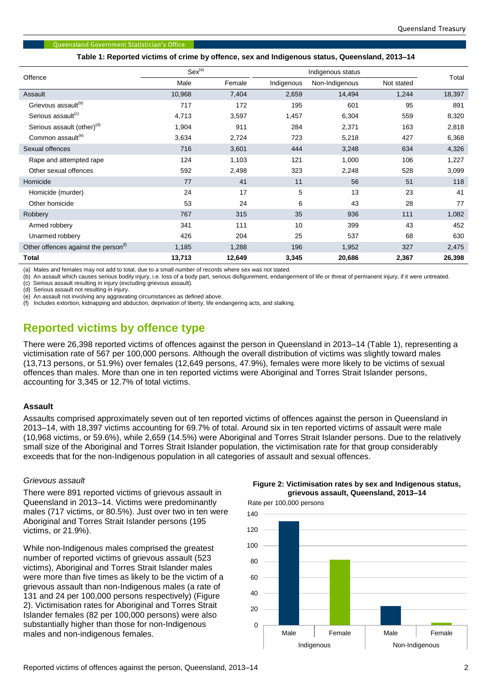#### **Oueensland Government Statistician's Office**

**Table 1: Reported victims of crime by offence, sex and Indigenous status, Queensland, 2013–14**

| Offence                                          | Sex <sup>(a)</sup> |        | Indigenous status |                |            |        |
|--------------------------------------------------|--------------------|--------|-------------------|----------------|------------|--------|
|                                                  | Male               | Female | Indigenous        | Non-Indigenous | Not stated | Total  |
| Assault                                          | 10,968             | 7,404  | 2,659             | 14,494         | 1,244      | 18,397 |
| Grievous assault <sup>(b)</sup>                  | 717                | 172    | 195               | 601            | 95         | 891    |
| Serious assault <sup>(c)</sup>                   | 4,713              | 3,597  | 1,457             | 6,304          | 559        | 8,320  |
| Serious assault (other) <sup>(d)</sup>           | 1,904              | 911    | 284               | 2,371          | 163        | 2,818  |
| Common assault <sup>(e)</sup>                    | 3,634              | 2,724  | 723               | 5,218          | 427        | 6,368  |
| Sexual offences                                  | 716                | 3,601  | 444               | 3,248          | 634        | 4,326  |
| Rape and attempted rape                          | 124                | 1,103  | 121               | 1,000          | 106        | 1,227  |
| Other sexual offences                            | 592                | 2,498  | 323               | 2,248          | 528        | 3,099  |
| Homicide                                         | 77                 | 41     | 11                | 56             | 51         | 118    |
| Homicide (murder)                                | 24                 | 17     | 5                 | 13             | 23         | 41     |
| Other homicide                                   | 53                 | 24     | 6                 | 43             | 28         | 77     |
| Robbery                                          | 767                | 315    | 35                | 936            | 111        | 1,082  |
| Armed robbery                                    | 341                | 111    | 10                | 399            | 43         | 452    |
| Unarmed robbery                                  | 426                | 204    | 25                | 537            | 68         | 630    |
| Other offences against the person <sup>(1)</sup> | 1,185              | 1,288  | 196               | 1,952          | 327        | 2,475  |
| <b>Total</b>                                     | 13,713             | 12,649 | 3,345             | 20,686         | 2,367      | 26,398 |

(a) Males and females may not add to total, due to a small number of records where sex was not stated.

(b) An assault which causes serious bodily injury, i.e. loss of a body part, serious disfigurement, endangerment of life or threat of permanent injury, if it were untreated.

(c) Serious assault resulting in injury (excluding grievous assault).

(d) Serious assault not resulting in injury.

(e) An assault not involving any aggravating circumstances as defined above.

Includes extortion, kidnapping and abduction, deprivation of liberty, life endangering acts, and stalking.

# **Reported victims by offence type**

There were 26,398 reported victims of offences against the person in Queensland in 2013–14 (Table 1), representing a victimisation rate of 567 per 100,000 persons. Although the overall distribution of victims was slightly toward males (13,713 persons, or 51.9%) over females (12,649 persons, 47.9%), females were more likely to be victims of sexual offences than males. More than one in ten reported victims were Aboriginal and Torres Strait Islander persons, accounting for 3,345 or 12.7% of total victims.

#### **Assault**

Assaults comprised approximately seven out of ten reported victims of offences against the person in Queensland in 2013–14, with 18,397 victims accounting for 69.7% of total. Around six in ten reported victims of assault were male (10,968 victims, or 59.6%), while 2,659 (14.5%) were Aboriginal and Torres Strait Islander persons. Due to the relatively small size of the Aboriginal and Torres Strait Islander population, the victimisation rate for that group considerably exceeds that for the non-Indigenous population in all categories of assault and sexual offences.

#### *Grievous assault*

There were 891 reported victims of grievous assault in Queensland in 2013–14. Victims were predominantly males (717 victims, or 80.5%). Just over two in ten were Aboriginal and Torres Strait Islander persons (195 victims, or 21.9%).

While non-Indigenous males comprised the greatest number of reported victims of grievous assault (523 victims), Aboriginal and Torres Strait Islander males were more than five times as likely to be the victim of a grievous assault than non-Indigenous males (a rate of 131 and 24 per 100,000 persons respectively) (Figure 2). Victimisation rates for Aboriginal and Torres Strait Islander females (82 per 100,000 persons) were also substantially higher than those for non-Indigenous males and non-indigenous females.



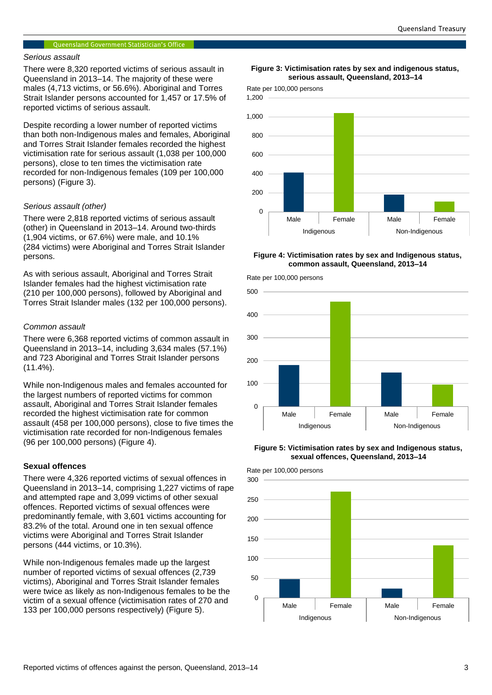#### Queensland Government Statistician's Office

#### *Serious assault*

There were 8,320 reported victims of serious assault in Queensland in 2013–14. The majority of these were males (4,713 victims, or 56.6%). Aboriginal and Torres Strait Islander persons accounted for 1,457 or 17.5% of reported victims of serious assault.

Despite recording a lower number of reported victims than both non-Indigenous males and females, Aboriginal and Torres Strait Islander females recorded the highest victimisation rate for serious assault (1,038 per 100,000 persons), close to ten times the victimisation rate recorded for non-Indigenous females (109 per 100,000 persons) (Figure 3).

#### *Serious assault (other)*

There were 2,818 reported victims of serious assault (other) in Queensland in 2013–14. Around two-thirds (1,904 victims, or 67.6%) were male, and 10.1% (284 victims) were Aboriginal and Torres Strait Islander persons.

As with serious assault, Aboriginal and Torres Strait Islander females had the highest victimisation rate (210 per 100,000 persons), followed by Aboriginal and Torres Strait Islander males (132 per 100,000 persons).

#### *Common assault*

There were 6,368 reported victims of common assault in Queensland in 2013–14, including 3,634 males (57.1%) and 723 Aboriginal and Torres Strait Islander persons (11.4%).

While non-Indigenous males and females accounted for the largest numbers of reported victims for common assault, Aboriginal and Torres Strait Islander females recorded the highest victimisation rate for common assault (458 per 100,000 persons), close to five times the victimisation rate recorded for non-Indigenous females (96 per 100,000 persons) (Figure 4).

#### **Sexual offences**

There were 4,326 reported victims of sexual offences in Queensland in 2013–14, comprising 1,227 victims of rape and attempted rape and 3,099 victims of other sexual offences. Reported victims of sexual offences were predominantly female, with 3,601 victims accounting for 83.2% of the total. Around one in ten sexual offence victims were Aboriginal and Torres Strait Islander persons (444 victims, or 10.3%).

While non-Indigenous females made up the largest number of reported victims of sexual offences (2,739 victims), Aboriginal and Torres Strait Islander females were twice as likely as non-Indigenous females to be the victim of a sexual offence (victimisation rates of 270 and 133 per 100,000 persons respectively) (Figure 5).

#### **Figure 3: Victimisation rates by sex and indigenous status, serious assault, Queensland, 2013–14**





#### **Figure 4: Victimisation rates by sex and Indigenous status, common assault, Queensland, 2013–14**



**Figure 5: Victimisation rates by sex and Indigenous status, sexual offences, Queensland, 2013–14**

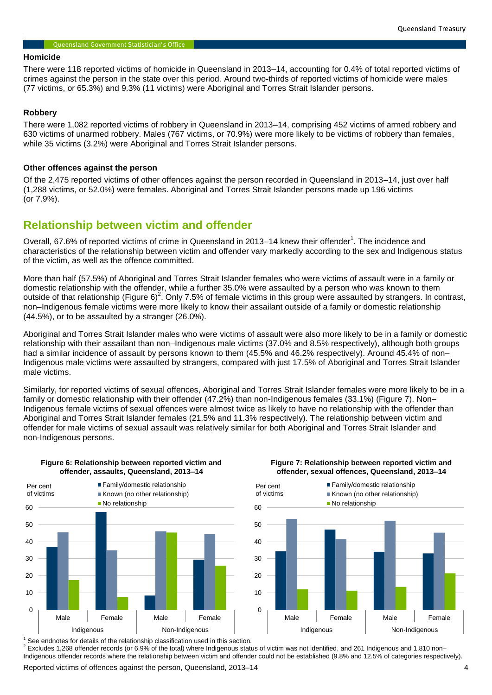#### Queensland Government Statistician's Office

#### **Homicide**

There were 118 reported victims of homicide in Queensland in 2013–14, accounting for 0.4% of total reported victims of crimes against the person in the state over this period. Around two-thirds of reported victims of homicide were males (77 victims, or 65.3%) and 9.3% (11 victims) were Aboriginal and Torres Strait Islander persons.

#### **Robbery**

There were 1,082 reported victims of robbery in Queensland in 2013–14, comprising 452 victims of armed robbery and 630 victims of unarmed robbery. Males (767 victims, or 70.9%) were more likely to be victims of robbery than females, while 35 victims (3.2%) were Aboriginal and Torres Strait Islander persons.

#### **Other offences against the person**

Of the 2,475 reported victims of other offences against the person recorded in Queensland in 2013–14, just over half (1,288 victims, or 52.0%) were females. Aboriginal and Torres Strait Islander persons made up 196 victims (or 7.9%).

## **Relationship between victim and offender**

Overall, 67.6% of reported victims of crime in Queensland in 2013–14 knew their offender<sup>1</sup>. The incidence and characteristics of the relationship between victim and offender vary markedly according to the sex and Indigenous status of the victim, as well as the offence committed.

More than half (57.5%) of Aboriginal and Torres Strait Islander females who were victims of assault were in a family or domestic relationship with the offender, while a further 35.0% were assaulted by a person who was known to them outside of that relationship (Figure 6)<sup>2</sup>. Only 7.5% of female victims in this group were assaulted by strangers. In contrast, non–Indigenous female victims were more likely to know their assailant outside of a family or domestic relationship (44.5%), or to be assaulted by a stranger (26.0%).

Aboriginal and Torres Strait Islander males who were victims of assault were also more likely to be in a family or domestic relationship with their assailant than non–Indigenous male victims (37.0% and 8.5% respectively), although both groups had a similar incidence of assault by persons known to them (45.5% and 46.2% respectively). Around 45.4% of non– Indigenous male victims were assaulted by strangers, compared with just 17.5% of Aboriginal and Torres Strait Islander male victims.

Similarly, for reported victims of sexual offences, Aboriginal and Torres Strait Islander females were more likely to be in a family or domestic relationship with their offender (47.2%) than non-Indigenous females (33.1%) (Figure 7). Non– Indigenous female victims of sexual offences were almost twice as likely to have no relationship with the offender than Aboriginal and Torres Strait Islander females (21.5% and 11.3% respectively). The relationship between victim and offender for male victims of sexual assault was relatively similar for both Aboriginal and Torres Strait Islander and non-Indigenous persons.



**Figure 6: Relationship between reported victim and offender, assaults, Queensland, 2013–14**

**Figure 7: Relationship between reported victim and offender, sexual offences, Queensland, 2013–14**



 $1$  See endnotes for details of the relationship classification used in this section.

<sup>2</sup> Excludes 1,268 offender records (or 6.9% of the total) where Indigenous status of victim was not identified, and 261 Indigenous and 1,810 non– Indigenous offender records where the relationship between victim and offender could not be established (9.8% and 12.5% of categories respectively).

Reported victims of offences against the person, Queensland, 2013–14  $\qquad \qquad \qquad$  4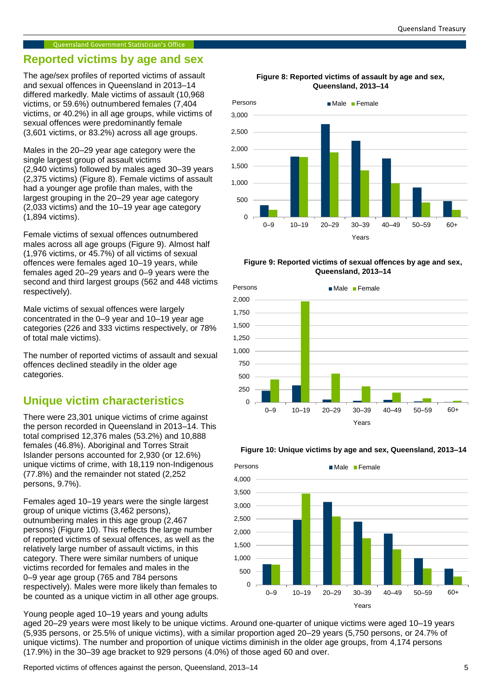#### Oueensland Government Statistician's Office

## **Reported victims by age and sex**

The age/sex profiles of reported victims of assault and sexual offences in Queensland in 2013–14 differed markedly. Male victims of assault (10,968 victims, or 59.6%) outnumbered females (7,404 victims, or 40.2%) in all age groups, while victims of sexual offences were predominantly female (3,601 victims, or 83.2%) across all age groups.

Males in the 20–29 year age category were the single largest group of assault victims (2,940 victims) followed by males aged 30–39 years (2,375 victims) (Figure 8). Female victims of assault had a younger age profile than males, with the largest grouping in the 20–29 year age category (2,033 victims) and the 10–19 year age category (1,894 victims).

Female victims of sexual offences outnumbered males across all age groups (Figure 9). Almost half (1,976 victims, or 45.7%) of all victims of sexual offences were females aged 10–19 years, while females aged 20–29 years and 0–9 years were the second and third largest groups (562 and 448 victims respectively).

Male victims of sexual offences were largely concentrated in the 0–9 year and 10–19 year age categories (226 and 333 victims respectively, or 78% of total male victims).

The number of reported victims of assault and sexual offences declined steadily in the older age categories.

## **Unique victim characteristics**

There were 23,301 unique victims of crime against the person recorded in Queensland in 2013–14. This total comprised 12,376 males (53.2%) and 10,888 females (46.8%). Aboriginal and Torres Strait Islander persons accounted for 2,930 (or 12.6%) unique victims of crime, with 18,119 non-Indigenous (77.8%) and the remainder not stated (2,252 persons, 9.7%).

Females aged 10–19 years were the single largest group of unique victims (3,462 persons), outnumbering males in this age group (2,467 persons) (Figure 10). This reflects the large number of reported victims of sexual offences, as well as the relatively large number of assault victims, in this category. There were similar numbers of unique victims recorded for females and males in the 0–9 year age group (765 and 784 persons respectively). Males were more likely than females to be counted as a unique victim in all other age groups.

Young people aged 10–19 years and young adults

**Figure 8: Reported victims of assault by age and sex, Queensland, 2013–14**



#### **Figure 9: Reported victims of sexual offences by age and sex, Queensland, 2013–14**







aged 20–29 years were most likely to be unique victims. Around one-quarter of unique victims were aged 10–19 years (5,935 persons, or 25.5% of unique victims), with a similar proportion aged 20–29 years (5,750 persons, or 24.7% of unique victims). The number and proportion of unique victims diminish in the older age groups, from 4,174 persons (17.9%) in the 30–39 age bracket to 929 persons (4.0%) of those aged 60 and over.